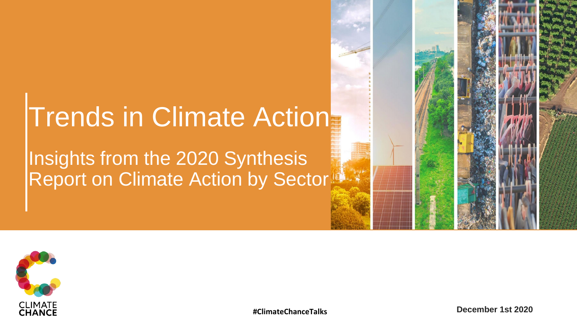## Trends in Climate Action

### Insights from the 2020 Synthesis Report on Climate Action by Sector





**#ClimateChanceTalks December 1st 2020**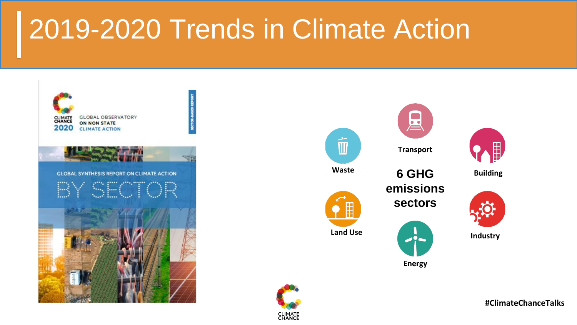# 2019-2020 Trends in Climate Action











**Building**



**Industry**

**#ClimateChanceTalks**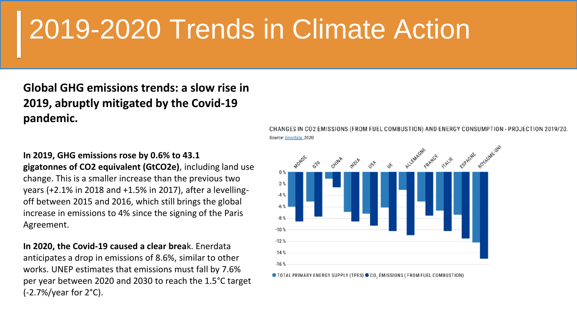# 2019-2020 Trends in Climate Action

**Global GHG emissions trends: a slow rise in 2019, abruptly mitigated by the Covid-19 pandemic.**

**In 2019, GHG emissions rose by 0.6% to 43.1 gigatonnes of CO2 equivalent (GtCO2e)**, including land use change. This is a smaller increase than the previous two years (+2.1% in 2018 and +1.5% in 2017), after a levellingoff between 2015 and 2016, which still brings the global increase in emissions to 4% since the signing of the Paris Agreement.

**In 2020, the Covid-19 caused a clear brea**k. Enerdata anticipates a drop in emissions of 8.6%, similar to other works. UNEP estimates that emissions must fall by 7.6% per year between 2020 and 2030 to reach the 1.5°C target (-2.7%/year for 2°C).



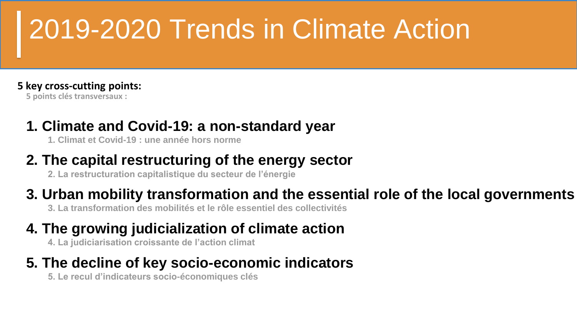# 2019-2020 Trends in Climate Action

#### **5 key cross-cutting points:**

**5 points clés transversaux :**

### **1. Climate and Covid-19: a non-standard year**

**1. Climat et Covid-19 : une année hors norme**

### **2. The capital restructuring of the energy sector**

**2. La restructuration capitalistique du secteur de l'énergie**

### **3. Urban mobility transformation and the essential role of the local governments**

**3. La transformation des mobilités et le rôle essentiel des collectivités**

### **4. The growing judicialization of climate action**

**4. La judiciarisation croissante de l'action climat**

### **5. The decline of key socio-economic indicators**

**5. Le recul d'indicateurs socio-économiques clés**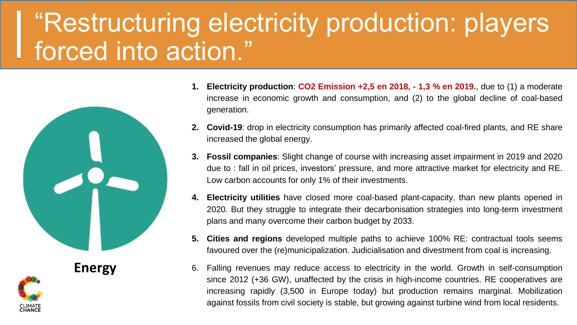## "Restructuring electricity production: players forced into action."



- **1. Electricity production**: **CO2 Emission +2,5 en 2018, - 1,3 % en 2019.**, due to (1) a moderate increase in economic growth and consumption, and (2) to the global decline of coal-based generation.
- **2. Covid-19**: drop in electricity consumption has primarily affected coal-fired plants, and RE share increased the global energy.
- **3. Fossil companies**: Slight change of course with increasing asset impairment in 2019 and 2020 due to : fall in oil prices, investors' pressure, and more attractive market for electricity and RE. Low carbon accounts for only 1% of their investments.
- **4. Electricity utilities** have closed more coal-based plant-capacity, than new plants opened in 2020. But they struggle to integrate their decarbonisation strategies into long-term investment plans and many overcome their carbon budget by 2033.
- **5. Cities and regions** developed multiple paths to achieve 100% RE: contractual tools seems favoured over the (re)municipalization. Judicialisation and divestment from coal is increasing.
- 6. Falling revenues may reduce access to electricity in the world. Growth in self-consumption since 2012 (+36 GW), unaffected by the crisis in high-income countries. RE cooperatives are increasing rapidly (3,500 in Europe today) but production remains marginal. Mobilization against fossils from civil society is stable, but growing against turbine wind from local residents.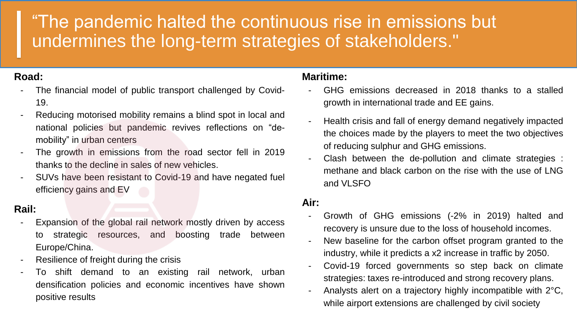### "The pandemic halted the continuous rise in emissions but undermines the long-term strategies of stakeholders."

#### **Road:**

- The financial model of public transport challenged by Covid-19.
- Reducing motorised mobility remains a blind spot in local and national policies but pandemic revives reflections on "demobility" in urban centers
- The growth in emissions from the road sector fell in 2019 thanks to the decline in sales of new vehicles.
- SUVs have been resistant to Covid-19 and have negated fuel efficiency gains and EV

#### **Rail:**

- Expansion of the global rail network mostly driven by access to strategic resources, and boosting trade between Europe/China.
- Resilience of freight during the crisis
- To shift demand to an existing rail network, urban densification policies and economic incentives have shown positive results

#### **Maritime:**

- GHG emissions decreased in 2018 thanks to a stalled growth in international trade and EE gains.
- Health crisis and fall of energy demand negatively impacted the choices made by the players to meet the two objectives of reducing sulphur and GHG emissions.
- Clash between the de-pollution and climate strategies : methane and black carbon on the rise with the use of LNG and VLSFO

#### **Air:**

- Growth of GHG emissions (-2% in 2019) halted and recovery is unsure due to the loss of household incomes.
- New baseline for the carbon offset program granted to the industry, while it predicts a x2 increase in traffic by 2050.
- Covid-19 forced governments so step back on climate strategies: taxes re-introduced and strong recovery plans.
- Analysts alert on a trajectory highly incompatible with 2°C, while airport extensions are challenged by civil society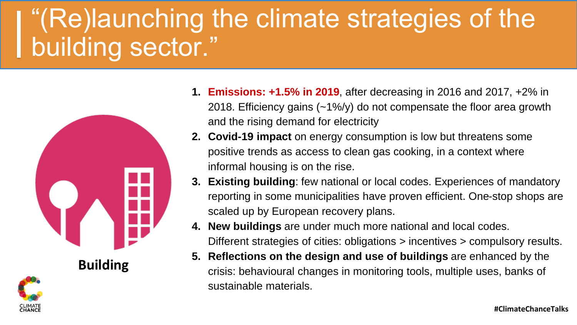## "(Re)launching the climate strategies of the building sector."



**Building**

- **1. Emissions: +1.5% in 2019**, after decreasing in 2016 and 2017, +2% in 2018. Efficiency gains (~1%/y) do not compensate the floor area growth and the rising demand for electricity
- **2. Covid-19 impact** on energy consumption is low but threatens some positive trends as access to clean gas cooking, in a context where informal housing is on the rise.
- **3. Existing building**: few national or local codes. Experiences of mandatory reporting in some municipalities have proven efficient. One-stop shops are scaled up by European recovery plans.
- **4. New buildings** are under much more national and local codes. Different strategies of cities: obligations > incentives > compulsory results.
- **5. Reflections on the design and use of buildings** are enhanced by the crisis: behavioural changes in monitoring tools, multiple uses, banks of sustainable materials.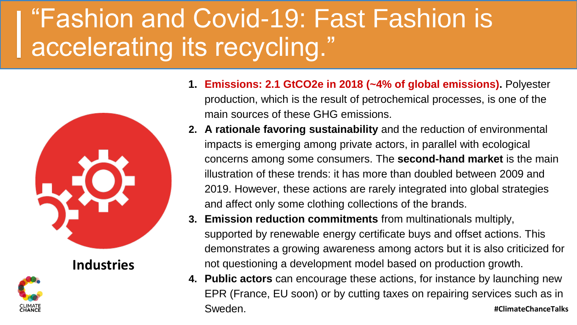## "Fashion and Covid-19: Fast Fashion is accelerating its recycling."



**Industries**



- **1. Emissions: 2.1 GtCO2e in 2018 (~4% of global emissions).** Polyester production, which is the result of petrochemical processes, is one of the main sources of these GHG emissions.
- **2. A rationale favoring sustainability** and the reduction of environmental impacts is emerging among private actors, in parallel with ecological concerns among some consumers. The **second-hand market** is the main illustration of these trends: it has more than doubled between 2009 and 2019. However, these actions are rarely integrated into global strategies and affect only some clothing collections of the brands.
- **3. Emission reduction commitments** from multinationals multiply, supported by renewable energy certificate buys and offset actions. This demonstrates a growing awareness among actors but it is also criticized for not questioning a development model based on production growth.
- **4. Public actors** can encourage these actions, for instance by launching new EPR (France, EU soon) or by cutting taxes on repairing services such as in Sweden. **#ClimateChanceTalks**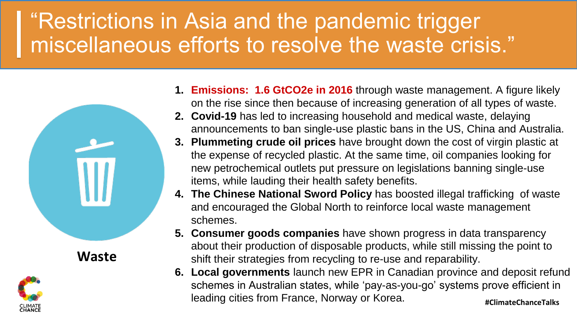### "Restrictions in Asia and the pandemic trigger miscellaneous efforts to resolve the waste crisis."



- **1. Emissions: 1.6 GtCO2e in 2016** through waste management. A figure likely on the rise since then because of increasing generation of all types of waste.
- **2. Covid-19** has led to increasing household and medical waste, delaying announcements to ban single-use plastic bans in the US, China and Australia.
- **3. Plummeting crude oil prices** have brought down the cost of virgin plastic at the expense of recycled plastic. At the same time, oil companies looking for new petrochemical outlets put pressure on legislations banning single-use items, while lauding their health safety benefits.
- **4. The Chinese National Sword Policy** has boosted illegal trafficking of waste and encouraged the Global North to reinforce local waste management schemes.
- **5. Consumer goods companies** have shown progress in data transparency about their production of disposable products, while still missing the point to shift their strategies from recycling to re-use and reparability.
- **#ClimateChanceTalks 6. Local governments** launch new EPR in Canadian province and deposit refund schemes in Australian states, while 'pay-as-you-go' systems prove efficient in leading cities from France, Norway or Korea.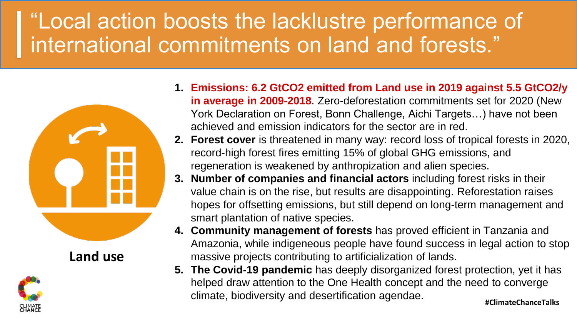## "Local action boosts the lacklustre performance of international commitments on land and forests."



**Land use**



- **1. Emissions: 6.2 GtCO2 emitted from Land use in 2019 against 5.5 GtCO2/y in average in 2009-2018**. Zero-deforestation commitments set for 2020 (New York Declaration on Forest, Bonn Challenge, Aichi Targets…) have not been achieved and emission indicators for the sector are in red.
- **2. Forest cover** is threatened in many way: record loss of tropical forests in 2020, record-high forest fires emitting 15% of global GHG emissions, and regeneration is weakened by anthropization and alien species.
- **3. Number of companies and financial actors** including forest risks in their value chain is on the rise, but results are disappointing. Reforestation raises hopes for offsetting emissions, but still depend on long-term management and smart plantation of native species.
- **4. Community management of forests** has proved efficient in Tanzania and Amazonia, while indigeneous people have found success in legal action to stop massive projects contributing to artificialization of lands.
- **5. The Covid-19 pandemic** has deeply disorganized forest protection, yet it has helped draw attention to the One Health concept and the need to converge climate, biodiversity and desertification agendae.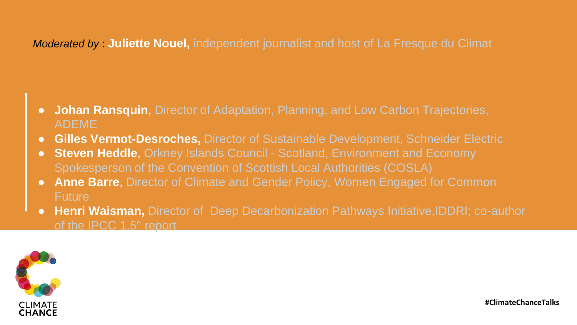#### *Moderated by* : **Juliette Nouel,** independent journalist and host of La Fresque du Climat

- **Johan Ransquin**, Director of Adaptation, Planning, and Low Carbon Trajectories, ADEME
- **Gilles Vermot-Desroches, Director of Sustainable Development, Schneider Electric**
- **Steven Heddle**, Orkney Islands Council Scotland, Environment and Economy Spokesperson of the Convention of Scottish Local Authorities (COSLA)
- **Anne Barre**, Director of Climate and Gender Policy, Women Engaged for Common **Future**
- **Henri Waisman,** Director of Deep Decarbonization Pathways Initiative,IDDRI; co-author of the IPCC 1.5° report

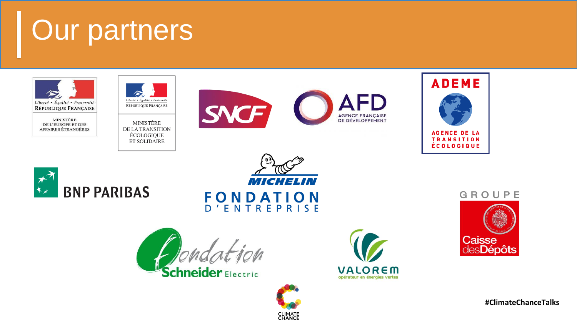## Our partners



MINISTÈRE DE L'EUROPE ET DES AFFAIRES ÉTRANGÈRES



MINISTÈRE DE LA TRANSITION ÉCOLOGIQUE **ET SOLIDAIRE** 









MICHELIN **FONDATION** D'ENTREPRISE

**CLIMATE**<br>**CHANCE** 

**chneider** Electric



#### GROUPE



**#ClimateChanceTalks**